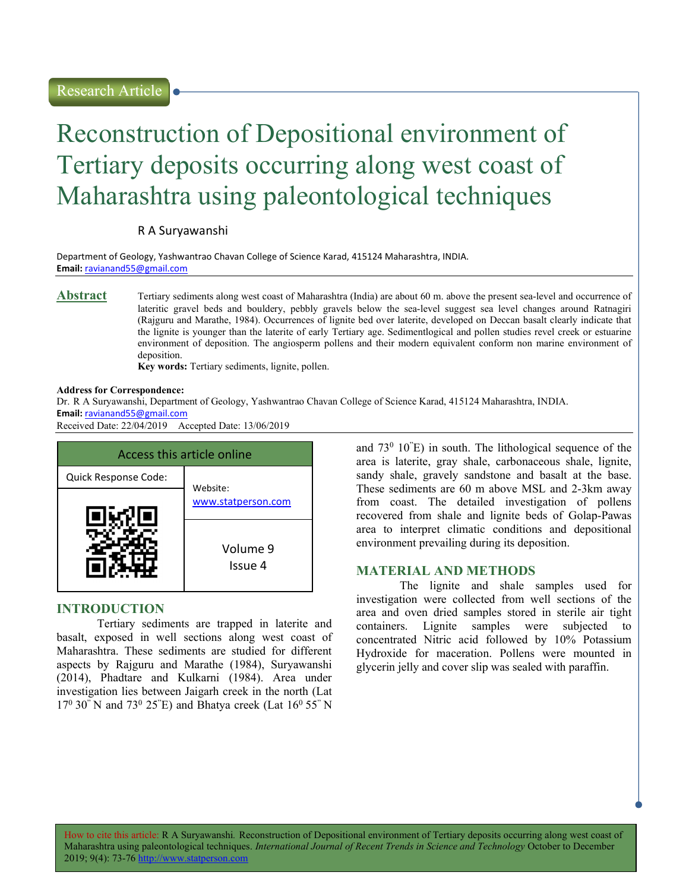# Reconstruction of Depositional environment of Tertiary deposits occurring along west coast of Maharashtra using paleontological techniques

#### R A Suryawanshi

Department of Geology, Yashwantrao Chavan College of Science Karad, 415124 Maharashtra, INDIA. Email: ravianand55@gmail.com

Abstract Tertiary sediments along west coast of Maharashtra (India) are about 60 m. above the present sea-level and occurrence of lateritic gravel beds and bouldery, pebbly gravels below the sea-level suggest sea level changes around Ratnagiri (Rajguru and Marathe, 1984). Occurrences of lignite bed over laterite, developed on Deccan basalt clearly indicate that the lignite is younger than the laterite of early Tertiary age. Sedimentlogical and pollen studies revel creek or estuarine environment of deposition. The angiosperm pollens and their modern equivalent conform non marine environment of deposition.

Key words: Tertiary sediments, lignite, pollen.

#### Address for Correspondence:

Dr. R A Suryawanshi, Department of Geology, Yashwantrao Chavan College of Science Karad, 415124 Maharashtra, INDIA. Email: ravianand55@gmail.com

Received Date: 22/04/2019 Accepted Date: 13/06/2019

| Access this article online |                                |
|----------------------------|--------------------------------|
| Quick Response Code:       | Website:<br>www.statperson.com |
|                            |                                |
|                            | Volume 9<br>Issue 4            |

#### INTRODUCTION

Tertiary sediments are trapped in laterite and basalt, exposed in well sections along west coast of Maharashtra. These sediments are studied for different aspects by Rajguru and Marathe (1984), Suryawanshi (2014), Phadtare and Kulkarni (1984). Area under investigation lies between Jaigarh creek in the north (Lat  $17^{\circ}$  30" N and 73<sup>°</sup> 25"E) and Bhatya creek (Lat  $16^{\circ}$  55" N

and  $73^{\circ}$  10 $\textdegree$ ) in south. The lithological sequence of the area is laterite, gray shale, carbonaceous shale, lignite, sandy shale, gravely sandstone and basalt at the base. These sediments are 60 m above MSL and 2-3km away from coast. The detailed investigation of pollens recovered from shale and lignite beds of Golap-Pawas area to interpret climatic conditions and depositional environment prevailing during its deposition.

## MATERIAL AND METHODS

 The lignite and shale samples used for investigation were collected from well sections of the area and oven dried samples stored in sterile air tight containers. Lignite samples were subjected to concentrated Nitric acid followed by 10% Potassium Hydroxide for maceration. Pollens were mounted in glycerin jelly and cover slip was sealed with paraffin.

How to cite this article: R A Suryawanshi. Reconstruction of Depositional environment of Tertiary deposits occurring along west coast of Maharashtra using paleontological techniques. International Journal of Recent Trends in Science and Technology October to December 2019; 9(4): 73-76 h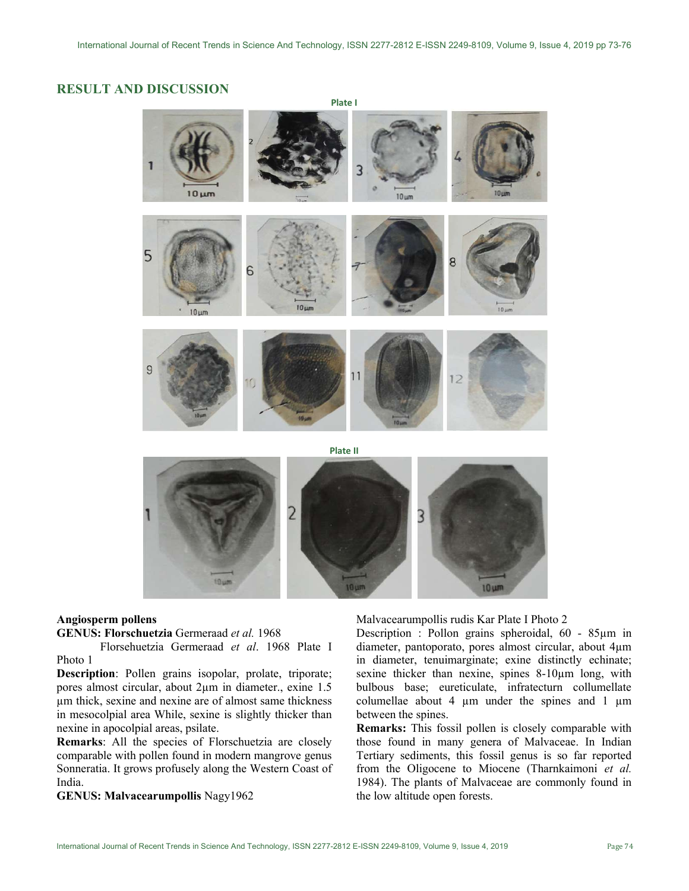## RESULT AND DISCUSSION



#### Angiosperm pollens

#### GENUS: Florschuetzia Germeraad et al. 1968

 Florsehuetzia Germeraad et al. 1968 Plate I Photo 1

Description: Pollen grains isopolar, prolate, triporate; pores almost circular, about 2µm in diameter., exine 1.5 µm thick, sexine and nexine are of almost same thickness in mesocolpial area While, sexine is slightly thicker than nexine in apocolpial areas, psilate.

Remarks: All the species of Florschuetzia are closely comparable with pollen found in modern mangrove genus Sonneratia. It grows profusely along the Western Coast of India.

GENUS: Malvacearumpollis Nagy1962

Malvacearumpollis rudis Kar Plate I Photo 2

Description : Pollon grains spheroidal, 60 - 85µm in diameter, pantoporato, pores almost circular, about 4µm in diameter, tenuimarginate; exine distinctly echinate; sexine thicker than nexine, spines 8-10µm long, with bulbous base; eureticulate, infratecturn collumellate columellae about 4  $\mu$ m under the spines and 1  $\mu$ m between the spines.

Remarks: This fossil pollen is closely comparable with those found in many genera of Malvaceae. In Indian Tertiary sediments, this fossil genus is so far reported from the Oligocene to Miocene (Tharnkaimoni et al. 1984). The plants of Malvaceae are commonly found in the low altitude open forests.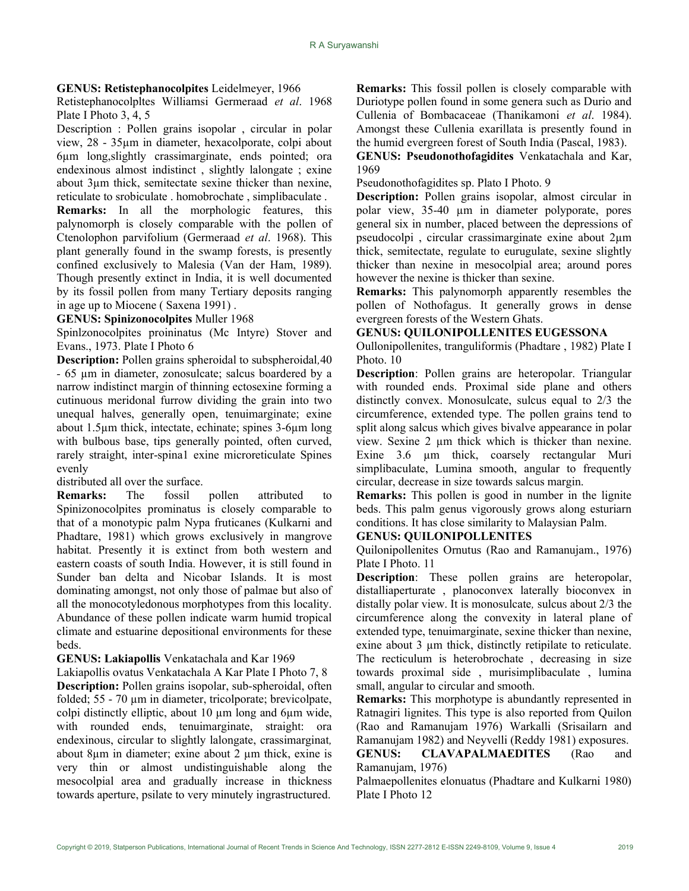#### GENUS: Retistephanocolpites Leidelmeyer, 1966

Retistephanocolpltes Williamsi Germeraad et al. 1968 Plate I Photo 3, 4, 5

Description : Pollen grains isopolar , circular in polar view, 28 - 35µm in diameter, hexacolporate, colpi about 6µm long,slightly crassimarginate, ends pointed; ora endexinous almost indistinct , slightly lalongate ; exine about 3µm thick, semitectate sexine thicker than nexine, reticulate to srobiculate . homobrochate , simplibaculate .

Remarks: In all the morphologic features, this palynomorph is closely comparable with the pollen of Ctenolophon parvifolium (Germeraad et al. 1968). This plant generally found in the swamp forests, is presently confined exclusively to Malesia (Van der Ham, 1989). Though presently extinct in India, it is well documented by its fossil pollen from many Tertiary deposits ranging in age up to Miocene ( Saxena 1991) .

GENUS: Spinizonocolpites Muller 1968

Spinlzonocolpites proininatus (Mc Intyre) Stover and Evans., 1973. Plate I Photo 6

Description: Pollen grains spheroidal to subspheroidal,40 - 65 µm in diameter, zonosulcate; salcus boardered by a narrow indistinct margin of thinning ectosexine forming a cutinuous meridonal furrow dividing the grain into two unequal halves, generally open, tenuimarginate; exine about 1.5µm thick, intectate, echinate; spines 3-6µm long with bulbous base, tips generally pointed, often curved, rarely straight, inter-spina1 exine microreticulate Spines evenly

distributed all over the surface.

Remarks: The fossil pollen attributed to Spinizonocolpites prominatus is closely comparable to that of a monotypic palm Nypa fruticanes (Kulkarni and Phadtare, 1981) which grows exclusively in mangrove habitat. Presently it is extinct from both western and eastern coasts of south India. However, it is still found in Sunder ban delta and Nicobar Islands. It is most dominating amongst, not only those of palmae but also of all the monocotyledonous morphotypes from this locality. Abundance of these pollen indicate warm humid tropical climate and estuarine depositional environments for these beds.

GENUS: Lakiapollis Venkatachala and Kar 1969

Lakiapollis ovatus Venkatachala A Kar Plate I Photo 7, 8 Description: Pollen grains isopolar, sub-spheroidal, often folded; 55 - 70 µm in diameter, tricolporate; brevicolpate, colpi distinctly elliptic, about 10 µm long and 6µm wide, with rounded ends, tenuimarginate, straight: ora endexinous, circular to slightly lalongate, crassimarginat, about 8µm in diameter; exine about 2 µm thick, exine is very thin or almost undistinguishable along the mesocolpial area and gradually increase in thickness towards aperture, psilate to very minutely ingrastructured.

Remarks: This fossil pollen is closely comparable with Duriotype pollen found in some genera such as Durio and Cullenia of Bombacaceae (Thanikamoni et al. 1984). Amongst these Cullenia exarillata is presently found in the humid evergreen forest of South India (Pascal, 1983).

GENUS: Pseudonothofagidites Venkatachala and Kar, 1969

Pseudonothofagidites sp. Plato I Photo. 9

Description: Pollen grains isopolar, almost circular in polar view, 35-40 µm in diameter polyporate, pores general six in number, placed between the depressions of pseudocolpi , circular crassimarginate exine about 2µm thick, semitectate, regulate to eurugulate, sexine slightly thicker than nexine in mesocolpial area; around pores however the nexine is thicker than sexine.

Remarks: This palynomorph apparently resembles the pollen of Nothofagus. It generally grows in dense evergreen forests of the Western Ghats.

#### GENUS: QUILONIPOLLENITES EUGESSONA

Oullonipollenites, tranguliformis (Phadtare , 1982) Plate I Photo. 10

Description: Pollen grains are heteropolar. Triangular with rounded ends. Proximal side plane and others distinctly convex. Monosulcate, sulcus equal to 2/3 the circumference, extended type. The pollen grains tend to split along salcus which gives bivalve appearance in polar view. Sexine 2 µm thick which is thicker than nexine. Exine 3.6 um thick, coarsely rectangular Muri simplibaculate, Lumina smooth, angular to frequently circular, decrease in size towards salcus margin.

Remarks: This pollen is good in number in the lignite beds. This palm genus vigorously grows along esturiarn conditions. It has close similarity to Malaysian Palm.

### GENUS: QUILONIPOLLENITES

Quilonipollenites Ornutus (Rao and Ramanujam., 1976) Plate I Photo. 11

Description: These pollen grains are heteropolar, distalliaperturate , planoconvex laterally bioconvex in distally polar view. It is monosulcate, sulcus about 2/3 the circumference along the convexity in lateral plane of extended type, tenuimarginate, sexine thicker than nexine, exine about 3  $\mu$ m thick, distinctly retipilate to reticulate. The recticulum is heterobrochate , decreasing in size towards proximal side , murisimplibaculate , lumina small, angular to circular and smooth.

Remarks: This morphotype is abundantly represented in Ratnagiri lignites. This type is also reported from Quilon (Rao and Ramanujam 1976) Warkalli (Srisailarn and Ramanujam 1982) and Neyvelli (Reddy 1981) exposures. GENUS: CLAVAPALMAEDITES (Rao and Ramanujam, 1976)

Palmaepollenites elonuatus (Phadtare and Kulkarni 1980) Plate I Photo 12